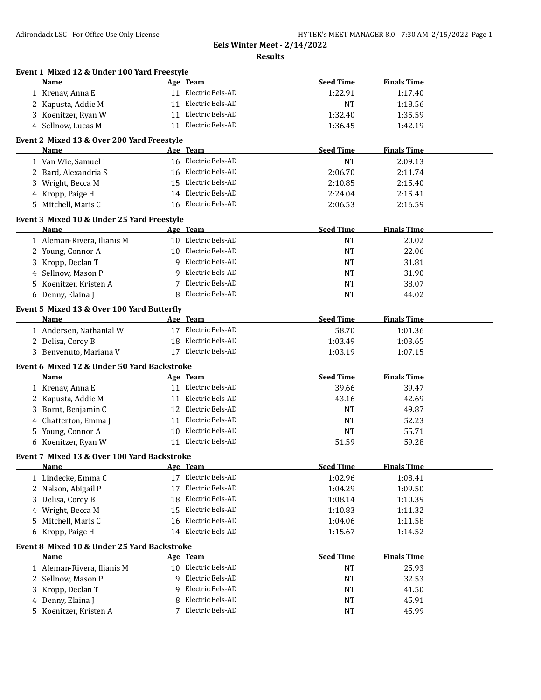**Event 1 Mixed 12 & Under 100 Yard Freestyle**

**Eels Winter Meet - 2/14/2022**

**Results**

| Name                                        |    | Age Team            | <b>Seed Time</b> | <b>Finals Time</b> |  |
|---------------------------------------------|----|---------------------|------------------|--------------------|--|
| 1 Krenav, Anna E                            |    | 11 Electric Eels-AD | 1:22.91          | 1:17.40            |  |
| 2 Kapusta, Addie M                          |    | 11 Electric Eels-AD | <b>NT</b>        | 1:18.56            |  |
| Koenitzer, Ryan W<br>3                      |    | 11 Electric Eels-AD | 1:32.40          | 1:35.59            |  |
| 4 Sellnow, Lucas M                          |    | 11 Electric Eels-AD | 1:36.45          | 1:42.19            |  |
|                                             |    |                     |                  |                    |  |
| Event 2 Mixed 13 & Over 200 Yard Freestyle  |    |                     | <b>Seed Time</b> |                    |  |
| Name                                        |    | Age Team            |                  | <b>Finals Time</b> |  |
| 1 Van Wie, Samuel I                         |    | 16 Electric Eels-AD | <b>NT</b>        | 2:09.13            |  |
| 2 Bard, Alexandria S                        |    | 16 Electric Eels-AD | 2:06.70          | 2:11.74            |  |
| 3 Wright, Becca M                           |    | 15 Electric Eels-AD | 2:10.85          | 2:15.40            |  |
| 4 Kropp, Paige H                            |    | 14 Electric Eels-AD | 2:24.04          | 2:15.41            |  |
| 5 Mitchell, Maris C                         |    | 16 Electric Eels-AD | 2:06.53          | 2:16.59            |  |
| Event 3 Mixed 10 & Under 25 Yard Freestyle  |    |                     |                  |                    |  |
| Name                                        |    | Age Team            | <b>Seed Time</b> | <b>Finals Time</b> |  |
| 1 Aleman-Rivera, Ilianis M                  |    | 10 Electric Eels-AD | <b>NT</b>        | 20.02              |  |
| 2 Young, Connor A                           |    | 10 Electric Eels-AD | <b>NT</b>        | 22.06              |  |
| 3 Kropp, Declan T                           |    | 9 Electric Eels-AD  | NT               | 31.81              |  |
| 4 Sellnow, Mason P                          |    | 9 Electric Eels-AD  | NT               | 31.90              |  |
| 5 Koenitzer, Kristen A                      |    | 7 Electric Eels-AD  | NT               | 38.07              |  |
| 6 Denny, Elaina J                           | 8  | Electric Eels-AD    | <b>NT</b>        | 44.02              |  |
|                                             |    |                     |                  |                    |  |
| Event 5 Mixed 13 & Over 100 Yard Butterfly  |    |                     |                  |                    |  |
| <b>Name</b>                                 |    | Age Team            | <b>Seed Time</b> | <b>Finals Time</b> |  |
| 1 Andersen, Nathanial W                     |    | 17 Electric Eels-AD | 58.70            | 1:01.36            |  |
| 2 Delisa, Corey B                           |    | 18 Electric Eels-AD | 1:03.49          | 1:03.65            |  |
| 3 Benvenuto, Mariana V                      |    | 17 Electric Eels-AD | 1:03.19          | 1:07.15            |  |
| Event 6 Mixed 12 & Under 50 Yard Backstroke |    |                     |                  |                    |  |
| Name                                        |    | Age Team            | <b>Seed Time</b> | <b>Finals Time</b> |  |
| 1 Krenav, Anna E                            |    | 11 Electric Eels-AD | 39.66            | 39.47              |  |
| 2 Kapusta, Addie M                          |    | 11 Electric Eels-AD | 43.16            | 42.69              |  |
| 3 Bornt, Benjamin C                         |    | 12 Electric Eels-AD | NT               | 49.87              |  |
| 4 Chatterton, Emma J                        |    | 11 Electric Eels-AD | <b>NT</b>        | 52.23              |  |
| 5 Young, Connor A                           |    | 10 Electric Eels-AD | <b>NT</b>        | 55.71              |  |
| 6 Koenitzer, Ryan W                         |    | 11 Electric Eels-AD | 51.59            | 59.28              |  |
| Event 7 Mixed 13 & Over 100 Yard Backstroke |    |                     |                  |                    |  |
| Name                                        |    | <u>Age Team</u>     | <b>Seed Time</b> | <b>Finals Time</b> |  |
| 1 Lindecke, Emma C                          |    | Electric Eels-AD    |                  |                    |  |
|                                             |    | Electric Eels-AD    | 1:02.96          | 1:08.41            |  |
| Nelson, Abigail P<br>2                      | 17 | Electric Eels-AD    | 1:04.29          | 1:09.50            |  |
| Delisa, Corey B<br>3                        | 18 |                     | 1:08.14          | 1:10.39            |  |
| 4 Wright, Becca M                           | 15 | Electric Eels-AD    | 1:10.83          | 1:11.32            |  |
| Mitchell, Maris C<br>5.                     | 16 | Electric Eels-AD    | 1:04.06          | 1:11.58            |  |
| 6 Kropp, Paige H                            |    | 14 Electric Eels-AD | 1:15.67          | 1:14.52            |  |
| Event 8 Mixed 10 & Under 25 Yard Backstroke |    |                     |                  |                    |  |
| Name                                        |    | Age Team            | <b>Seed Time</b> | <b>Finals Time</b> |  |
| 1 Aleman-Rivera, Ilianis M                  | 10 | Electric Eels-AD    | <b>NT</b>        | 25.93              |  |
| 2 Sellnow, Mason P                          | 9  | Electric Eels-AD    | <b>NT</b>        | 32.53              |  |
| Kropp, Declan T<br>3                        | 9  | Electric Eels-AD    | <b>NT</b>        | 41.50              |  |
| Denny, Elaina J<br>4                        | 8  | Electric Eels-AD    | <b>NT</b>        | 45.91              |  |
| 5 Koenitzer, Kristen A                      |    | 7 Electric Eels-AD  | NT               | 45.99              |  |
|                                             |    |                     |                  |                    |  |